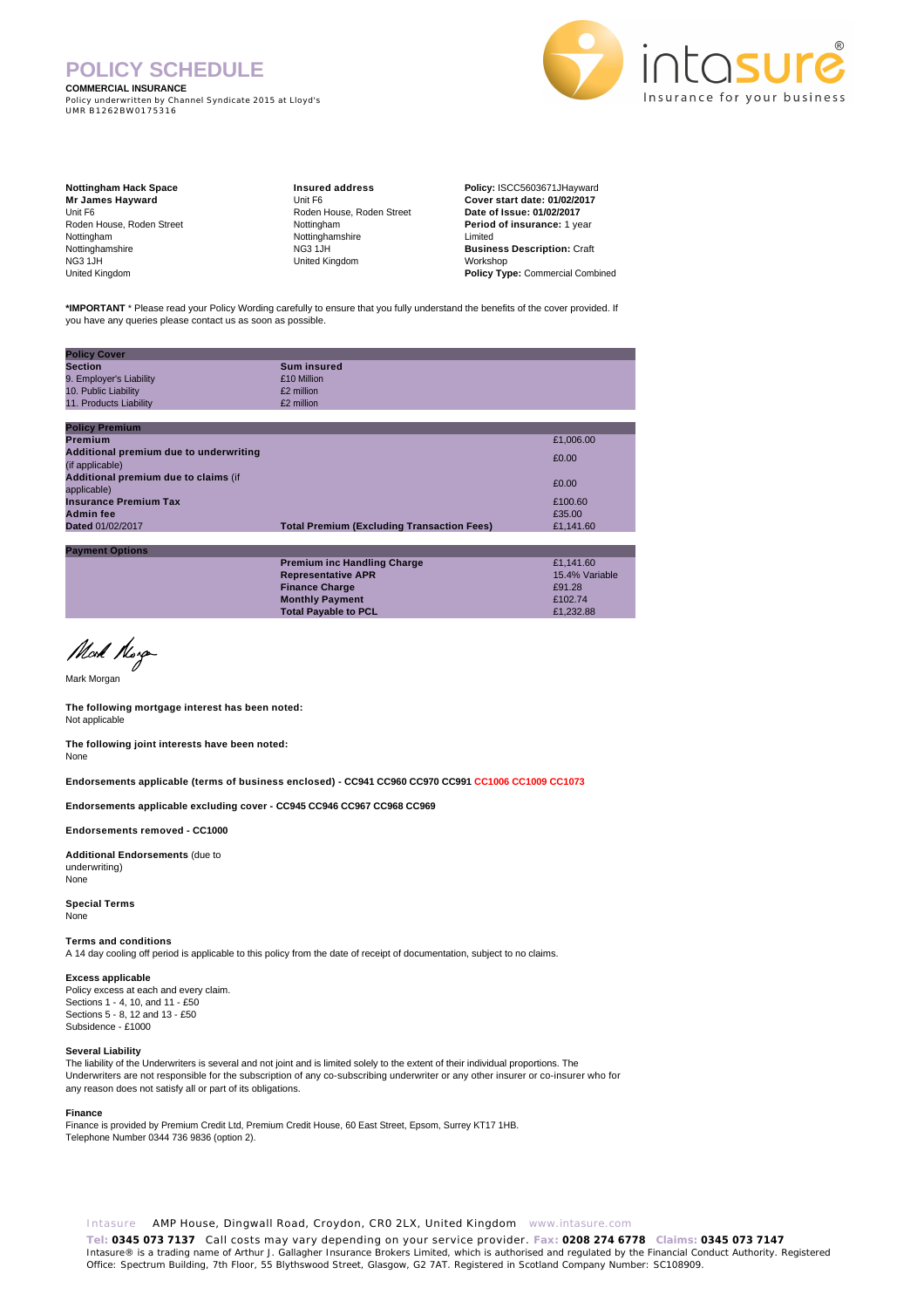# **POLICY SCHEDULE**

**COMMERCIAL INSURANCE**

Policy underwritten by Channel Syndicate 2015 at Lloyd's UMR B1262BW0175316



| <b>Nottingham Hack Space</b> |  |  |
|------------------------------|--|--|
| <b>Mr James Hayward</b>      |  |  |
| Unit F6                      |  |  |
| Roden House, Roden Street    |  |  |
| Nottingham                   |  |  |
| Nottinghamshire              |  |  |
| <b>NG3 1JH</b>               |  |  |
| United Kingdom               |  |  |

**Insured address** Unit F6 Roden House, Roden Street Nottingham Nottinghamshire NG3 1JH United Kingdom

**Policy:** ISCC5603671JHayward **Cover start date: 01/02/2017 Date of Issue: 01/02/2017 Period of insurance:** 1 year Limited **Business Description:** Craft Workshop **Policy Type:** Commercial Combined

**\*IMPORTANT** \* Please read your Policy Wording carefully to ensure that you fully understand the benefits of the cover provided. If you have any queries please contact us as soon as possible.

| <b>Policy Cover</b>                    |                                                   |           |
|----------------------------------------|---------------------------------------------------|-----------|
| Section                                | <b>Sum insured</b>                                |           |
| 9. Employer's Liability                | £10 Million                                       |           |
| 10. Public Liability                   | £2 million                                        |           |
| 11. Products Liability                 | £2 million                                        |           |
|                                        |                                                   |           |
| <b>Policy Premium</b>                  |                                                   |           |
| Premium                                |                                                   | £1,006.00 |
| Additional premium due to underwriting |                                                   | £0.00     |
| (if applicable)                        |                                                   |           |
| Additional premium due to claims (if   |                                                   | £0.00     |
| applicable)                            |                                                   |           |
| <b>Insurance Premium Tax</b>           |                                                   | £100.60   |
| <b>Admin fee</b>                       |                                                   | £35.00    |
| <b>Dated 01/02/2017</b>                | <b>Total Premium (Excluding Transaction Fees)</b> | £1,141.60 |
|                                        |                                                   |           |
| <b>Payment Options</b>                 |                                                   |           |
|                                        | <b>Premium inc Handling Charge</b>                | £1.141.60 |

**Representative APR** 15.4% Variable<br> **Einance Charge**<br>
Finance Charge **Finance Charge E91.28**<br> **Monthly Payment E91.28**<br> **E91.28 Monthly Payment Total Payable to PCL E1,232.88** 

Mort Horge

Mark Morgan

**The following mortgage interest has been noted:** Not applicable

**The following joint interests have been noted:** None

**Endorsements applicable (terms of business enclosed) - CC941 CC960 CC970 CC991 CC1006 CC1009 CC1073**

**Endorsements applicable excluding cover - CC945 CC946 CC967 CC968 CC969** 

**Endorsements removed - CC1000** 

**Additional Endorsements** (due to underwriting) None

**Special Terms** None

**Terms and conditions** A 14 day cooling off period is applicable to this policy from the date of receipt of documentation, subject to no claims.

#### **Excess applicable**

Policy excess at each and every claim. Sections 1 - 4, 10, and 11 - £50 Sections 5 - 8, 12 and 13 - £50 Subsidence - £1000

#### **Several Liability**

The liability of the Underwriters is several and not joint and is limited solely to the extent of their individual proportions. The Underwriters are not responsible for the subscription of any co-subscribing underwriter or any other insurer or co-insurer who for any reason does not satisfy all or part of its obligations.

#### **Finance**

Finance is provided by Premium Credit Ltd, Premium Credit House, 60 East Street, Epsom, Surrey KT17 1HB. Telephone Number 0344 736 9836 (option 2).

Intasure AMP House, Dingwall Road, Croydon, CR0 2LX, United Kingdom www.intasure.com

**Tel: 0345 073 7137** Call costs may vary depending on your service provider. **Fax: 0208 274 6778 Claims: 0345 073 7147**  Intasure® is a trading name of Arthur J. Gallagher Insurance Brokers Limited, which is authorised and regulated by the Financial Conduct Authority. Registered<br>Office: Spectrum Building, 7th Floor, 55 Blythswood Street, Gla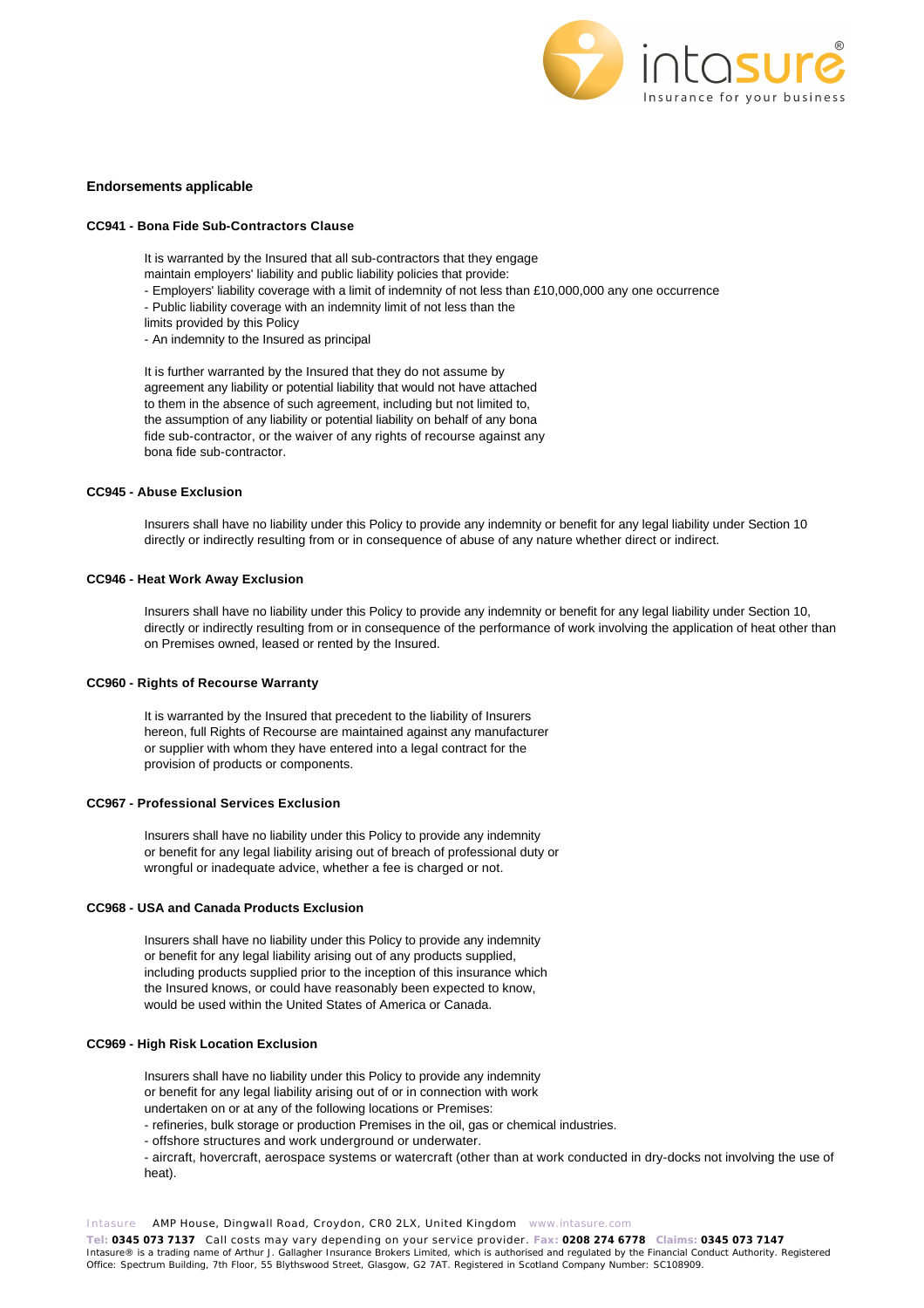

### **Endorsements applicable**

#### **CC941 - Bona Fide Sub-Contractors Clause**

It is warranted by the Insured that all sub-contractors that they engage

- maintain employers' liability and public liability policies that provide:
- Employers' liability coverage with a limit of indemnity of not less than £10,000,000 any one occurrence
- Public liability coverage with an indemnity limit of not less than the
- limits provided by this Policy
- An indemnity to the Insured as principal

It is further warranted by the Insured that they do not assume by agreement any liability or potential liability that would not have attached to them in the absence of such agreement, including but not limited to, the assumption of any liability or potential liability on behalf of any bona fide sub-contractor, or the waiver of any rights of recourse against any bona fide sub-contractor.

### **CC945 - Abuse Exclusion**

Insurers shall have no liability under this Policy to provide any indemnity or benefit for any legal liability under Section 10 directly or indirectly resulting from or in consequence of abuse of any nature whether direct or indirect.

### **CC946 - Heat Work Away Exclusion**

Insurers shall have no liability under this Policy to provide any indemnity or benefit for any legal liability under Section 10, directly or indirectly resulting from or in consequence of the performance of work involving the application of heat other than on Premises owned, leased or rented by the Insured.

#### **CC960 - Rights of Recourse Warranty**

It is warranted by the Insured that precedent to the liability of Insurers hereon, full Rights of Recourse are maintained against any manufacturer or supplier with whom they have entered into a legal contract for the provision of products or components.

### **CC967 - Professional Services Exclusion**

Insurers shall have no liability under this Policy to provide any indemnity or benefit for any legal liability arising out of breach of professional duty or wrongful or inadequate advice, whether a fee is charged or not.

### **CC968 - USA and Canada Products Exclusion**

Insurers shall have no liability under this Policy to provide any indemnity or benefit for any legal liability arising out of any products supplied, including products supplied prior to the inception of this insurance which the Insured knows, or could have reasonably been expected to know, would be used within the United States of America or Canada.

### **CC969 - High Risk Location Exclusion**

Insurers shall have no liability under this Policy to provide any indemnity or benefit for any legal liability arising out of or in connection with work undertaken on or at any of the following locations or Premises:

- refineries, bulk storage or production Premises in the oil, gas or chemical industries.

- offshore structures and work underground or underwater.

- aircraft, hovercraft, aerospace systems or watercraft (other than at work conducted in dry-docks not involving the use of heat).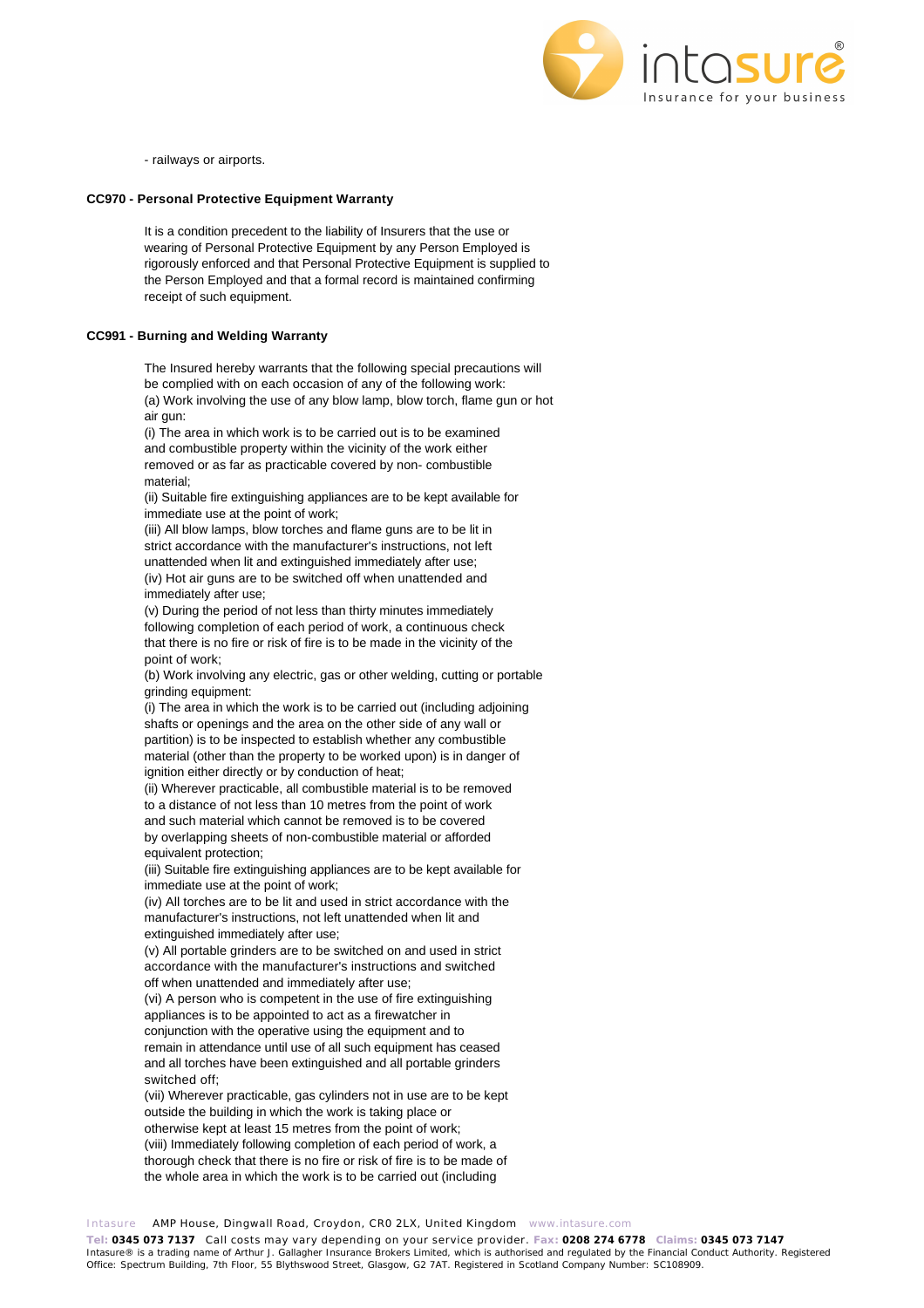

- railways or airports.

### **CC970 - Personal Protective Equipment Warranty**

It is a condition precedent to the liability of Insurers that the use or wearing of Personal Protective Equipment by any Person Employed is rigorously enforced and that Personal Protective Equipment is supplied to the Person Employed and that a formal record is maintained confirming receipt of such equipment.

### **CC991 - Burning and Welding Warranty**

The Insured hereby warrants that the following special precautions will be complied with on each occasion of any of the following work: (a) Work involving the use of any blow lamp, blow torch, flame gun or hot air gun:

(i) The area in which work is to be carried out is to be examined and combustible property within the vicinity of the work either removed or as far as practicable covered by non- combustible material;

(ii) Suitable fire extinguishing appliances are to be kept available for immediate use at the point of work;

(iii) All blow lamps, blow torches and flame guns are to be lit in strict accordance with the manufacturer's instructions, not left unattended when lit and extinguished immediately after use; (iv) Hot air guns are to be switched off when unattended and immediately after use;

(v) During the period of not less than thirty minutes immediately following completion of each period of work, a continuous check that there is no fire or risk of fire is to be made in the vicinity of the point of work;

(b) Work involving any electric, gas or other welding, cutting or portable grinding equipment:

(i) The area in which the work is to be carried out (including adjoining shafts or openings and the area on the other side of any wall or partition) is to be inspected to establish whether any combustible material (other than the property to be worked upon) is in danger of ignition either directly or by conduction of heat;

(ii) Wherever practicable, all combustible material is to be removed to a distance of not less than 10 metres from the point of work and such material which cannot be removed is to be covered by overlapping sheets of non-combustible material or afforded equivalent protection;

(iii) Suitable fire extinguishing appliances are to be kept available for immediate use at the point of work;

(iv) All torches are to be lit and used in strict accordance with the manufacturer's instructions, not left unattended when lit and extinguished immediately after use;

(v) All portable grinders are to be switched on and used in strict accordance with the manufacturer's instructions and switched off when unattended and immediately after use;

(vi) A person who is competent in the use of fire extinguishing appliances is to be appointed to act as a firewatcher in conjunction with the operative using the equipment and to remain in attendance until use of all such equipment has ceased and all torches have been extinguished and all portable grinders switched off;

(vii) Wherever practicable, gas cylinders not in use are to be kept outside the building in which the work is taking place or otherwise kept at least 15 metres from the point of work; (viii) Immediately following completion of each period of work, a thorough check that there is no fire or risk of fire is to be made of the whole area in which the work is to be carried out (including